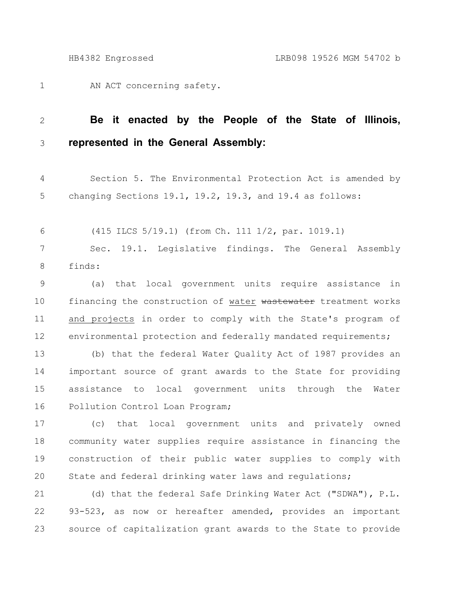1

AN ACT concerning safety.

#### **Be it enacted by the People of the State of Illinois, represented in the General Assembly:** 2 3

Section 5. The Environmental Protection Act is amended by changing Sections 19.1, 19.2, 19.3, and 19.4 as follows: 4 5

(415 ILCS 5/19.1) (from Ch. 111 1/2, par. 1019.1) 6

Sec. 19.1. Legislative findings. The General Assembly finds: 7 8

(a) that local government units require assistance in financing the construction of water wastewater treatment works and projects in order to comply with the State's program of environmental protection and federally mandated requirements; 9 10 11 12

(b) that the federal Water Quality Act of 1987 provides an important source of grant awards to the State for providing assistance to local government units through the Water Pollution Control Loan Program; 13 14 15 16

(c) that local government units and privately owned community water supplies require assistance in financing the construction of their public water supplies to comply with State and federal drinking water laws and regulations; 17 18 19 20

(d) that the federal Safe Drinking Water Act ("SDWA"), P.L. 93-523, as now or hereafter amended, provides an important source of capitalization grant awards to the State to provide 21 22 23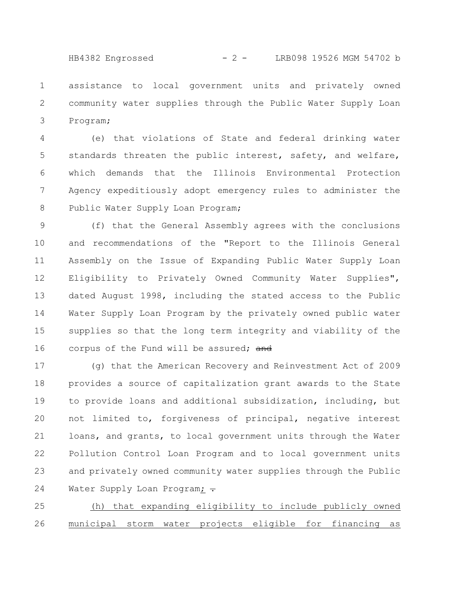HB4382 Engrossed - 2 - LRB098 19526 MGM 54702 b

assistance to local government units and privately owned community water supplies through the Public Water Supply Loan Program; 1 2 3

(e) that violations of State and federal drinking water standards threaten the public interest, safety, and welfare, which demands that the Illinois Environmental Protection Agency expeditiously adopt emergency rules to administer the Public Water Supply Loan Program; 4 5 6 7 8

(f) that the General Assembly agrees with the conclusions and recommendations of the "Report to the Illinois General Assembly on the Issue of Expanding Public Water Supply Loan Eligibility to Privately Owned Community Water Supplies", dated August 1998, including the stated access to the Public Water Supply Loan Program by the privately owned public water supplies so that the long term integrity and viability of the corpus of the Fund will be assured; and 9 10 11 12 13 14 15 16

(g) that the American Recovery and Reinvestment Act of 2009 provides a source of capitalization grant awards to the State to provide loans and additional subsidization, including, but not limited to, forgiveness of principal, negative interest loans, and grants, to local government units through the Water Pollution Control Loan Program and to local government units and privately owned community water supplies through the Public Water Supply Loan Program;  $\div$ 17 18 19 20 21 22 23 24

(h) that expanding eligibility to include publicly owned municipal storm water projects eligible for financing as 25 26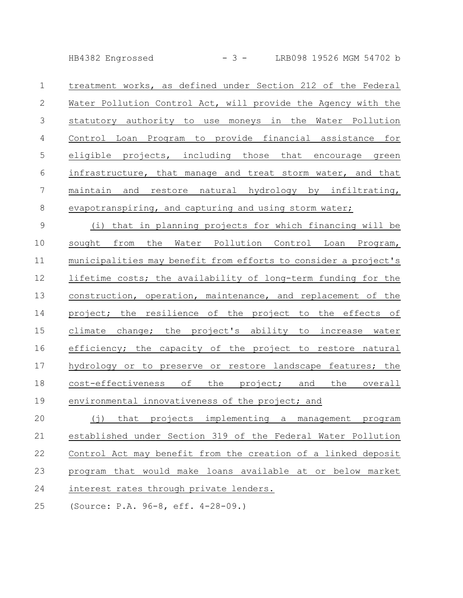HB4382 Engrossed - 3 - LRB098 19526 MGM 54702 b

treatment works, as defined under Section 212 of the Federal Water Pollution Control Act, will provide the Agency with the statutory authority to use moneys in the Water Pollution Control Loan Program to provide financial assistance for eligible projects, including those that encourage green infrastructure, that manage and treat storm water, and that maintain and restore natural hydrology by infiltrating, evapotranspiring, and capturing and using storm water; 1 2 3 4 5 6 7 8

(i) that in planning projects for which financing will be sought from the Water Pollution Control Loan Program, municipalities may benefit from efforts to consider a project's lifetime costs; the availability of long-term funding for the construction, operation, maintenance, and replacement of the project; the resilience of the project to the effects of climate change; the project's ability to increase water efficiency; the capacity of the project to restore natural hydrology or to preserve or restore landscape features; the cost-effectiveness of the project; and the overall environmental innovativeness of the project; and 9 10 11 12 13 14 15 16 17 18 19

(j) that projects implementing a management program established under Section 319 of the Federal Water Pollution Control Act may benefit from the creation of a linked deposit program that would make loans available at or below market interest rates through private lenders. 20 21 22 23 24

(Source: P.A. 96-8, eff. 4-28-09.) 25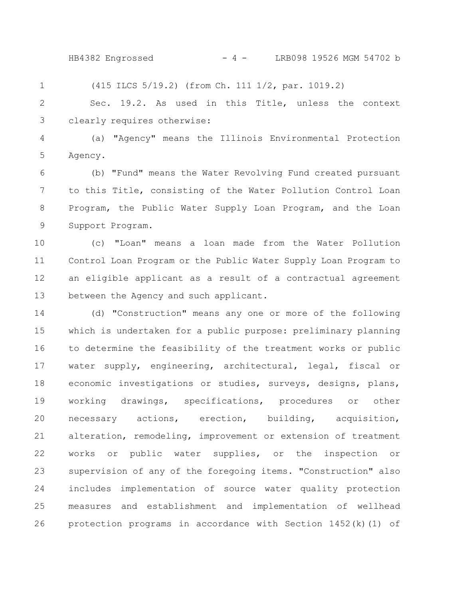HB4382 Engrossed - 4 - LRB098 19526 MGM 54702 b

(415 ILCS 5/19.2) (from Ch. 111 1/2, par. 1019.2) 1

Sec. 19.2. As used in this Title, unless the context clearly requires otherwise: 2 3

(a) "Agency" means the Illinois Environmental Protection Agency. 4 5

(b) "Fund" means the Water Revolving Fund created pursuant to this Title, consisting of the Water Pollution Control Loan Program, the Public Water Supply Loan Program, and the Loan Support Program. 6 7 8 9

(c) "Loan" means a loan made from the Water Pollution Control Loan Program or the Public Water Supply Loan Program to an eligible applicant as a result of a contractual agreement between the Agency and such applicant. 10 11 12 13

(d) "Construction" means any one or more of the following which is undertaken for a public purpose: preliminary planning to determine the feasibility of the treatment works or public water supply, engineering, architectural, legal, fiscal or economic investigations or studies, surveys, designs, plans, working drawings, specifications, procedures or other necessary actions, erection, building, acquisition, alteration, remodeling, improvement or extension of treatment works or public water supplies, or the inspection or supervision of any of the foregoing items. "Construction" also includes implementation of source water quality protection measures and establishment and implementation of wellhead protection programs in accordance with Section 1452(k)(1) of 14 15 16 17 18 19 20 21 22 23 24 25 26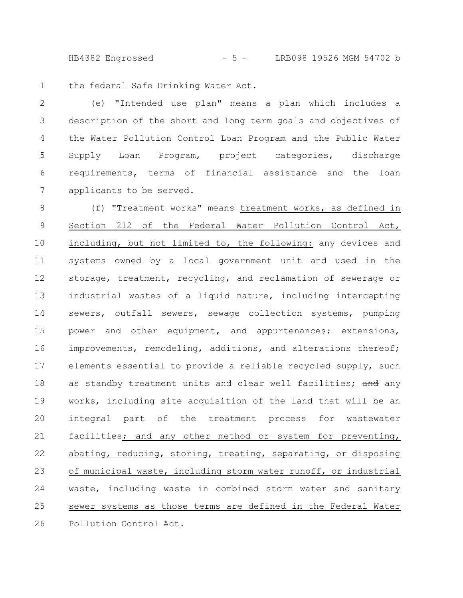HB4382 Engrossed - 5 - LRB098 19526 MGM 54702 b

the federal Safe Drinking Water Act. 1

(e) "Intended use plan" means a plan which includes a description of the short and long term goals and objectives of the Water Pollution Control Loan Program and the Public Water Supply Loan Program, project categories, discharge requirements, terms of financial assistance and the loan applicants to be served. 2 3 4 5 6 7

(f) "Treatment works" means treatment works, as defined in Section 212 of the Federal Water Pollution Control Act, including, but not limited to, the following: any devices and systems owned by a local government unit and used in the storage, treatment, recycling, and reclamation of sewerage or industrial wastes of a liquid nature, including intercepting sewers, outfall sewers, sewage collection systems, pumping power and other equipment, and appurtenances; extensions, improvements, remodeling, additions, and alterations thereof; elements essential to provide a reliable recycled supply, such as standby treatment units and clear well facilities; and any works, including site acquisition of the land that will be an integral part of the treatment process for wastewater facilities; and any other method or system for preventing, abating, reducing, storing, treating, separating, or disposing of municipal waste, including storm water runoff, or industrial waste, including waste in combined storm water and sanitary sewer systems as those terms are defined in the Federal Water Pollution Control Act. 8 9 10 11 12 13 14 15 16 17 18 19 20 21 22 23 24 25 26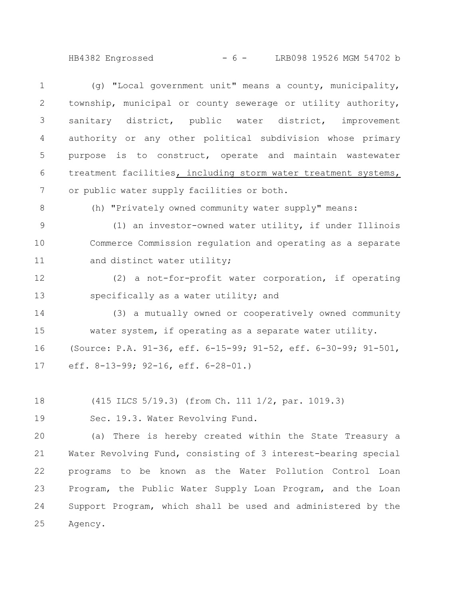HB4382 Engrossed - 6 - LRB098 19526 MGM 54702 b

(g) "Local government unit" means a county, municipality, township, municipal or county sewerage or utility authority, sanitary district, public water district, improvement authority or any other political subdivision whose primary purpose is to construct, operate and maintain wastewater treatment facilities, including storm water treatment systems, or public water supply facilities or both. 1 2 3 4 5 6 7

8

(h) "Privately owned community water supply" means:

(1) an investor-owned water utility, if under Illinois Commerce Commission regulation and operating as a separate and distinct water utility; 9 10 11

(2) a not-for-profit water corporation, if operating specifically as a water utility; and 12 13

(3) a mutually owned or cooperatively owned community water system, if operating as a separate water utility. (Source: P.A. 91-36, eff. 6-15-99; 91-52, eff. 6-30-99; 91-501, eff. 8-13-99; 92-16, eff. 6-28-01.) 14 15 16 17

(415 ILCS 5/19.3) (from Ch. 111 1/2, par. 1019.3) 18

Sec. 19.3. Water Revolving Fund. 19

(a) There is hereby created within the State Treasury a Water Revolving Fund, consisting of 3 interest-bearing special programs to be known as the Water Pollution Control Loan Program, the Public Water Supply Loan Program, and the Loan Support Program, which shall be used and administered by the Agency. 20 21 22 23 24 25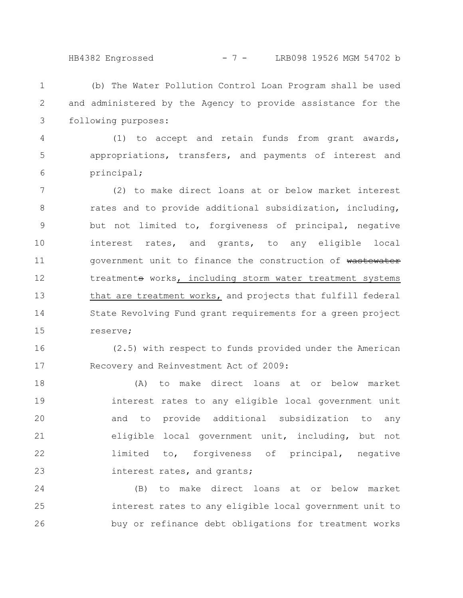## HB4382 Engrossed - 7 - LRB098 19526 MGM 54702 b

(b) The Water Pollution Control Loan Program shall be used and administered by the Agency to provide assistance for the following purposes: 1 2 3

(1) to accept and retain funds from grant awards, appropriations, transfers, and payments of interest and principal; 4 5 6

(2) to make direct loans at or below market interest rates and to provide additional subsidization, including, but not limited to, forgiveness of principal, negative interest rates, and grants, to any eligible local government unit to finance the construction of wastewater treatments works, including storm water treatment systems that are treatment works, and projects that fulfill federal State Revolving Fund grant requirements for a green project reserve; 7 8 9 10 11 12 13 14 15

(2.5) with respect to funds provided under the American Recovery and Reinvestment Act of 2009: 16 17

(A) to make direct loans at or below market interest rates to any eligible local government unit and to provide additional subsidization to any eligible local government unit, including, but not limited to, forgiveness of principal, negative interest rates, and grants; 18 19 20 21 22 23

(B) to make direct loans at or below market interest rates to any eligible local government unit to buy or refinance debt obligations for treatment works 24 25 26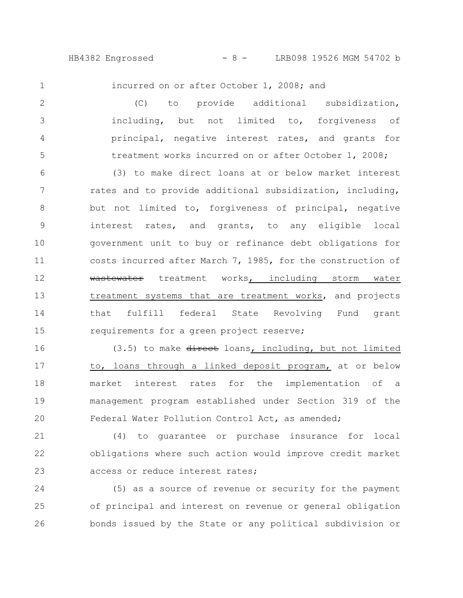HB4382 Engrossed - 8 - LRB098 19526 MGM 54702 b

1

incurred on or after October 1, 2008; and

(C) to provide additional subsidization, including, but not limited to, forgiveness of principal, negative interest rates, and grants for treatment works incurred on or after October 1, 2008; (3) to make direct loans at or below market interest rates and to provide additional subsidization, including, 2 3 4 5 6 7

but not limited to, forgiveness of principal, negative interest rates, and grants, to any eligible local government unit to buy or refinance debt obligations for costs incurred after March 7, 1985, for the construction of wastewater treatment works, including storm water treatment systems that are treatment works, and projects that fulfill federal State Revolving Fund grant requirements for a green project reserve; 8 9 10 11 12 13 14 15

(3.5) to make direct loans, including, but not limited to, loans through a linked deposit program, at or below market interest rates for the implementation of a management program established under Section 319 of the Federal Water Pollution Control Act, as amended; 16 17 18 19 20

(4) to guarantee or purchase insurance for local obligations where such action would improve credit market access or reduce interest rates; 21 22 23

(5) as a source of revenue or security for the payment of principal and interest on revenue or general obligation bonds issued by the State or any political subdivision or 24 25 26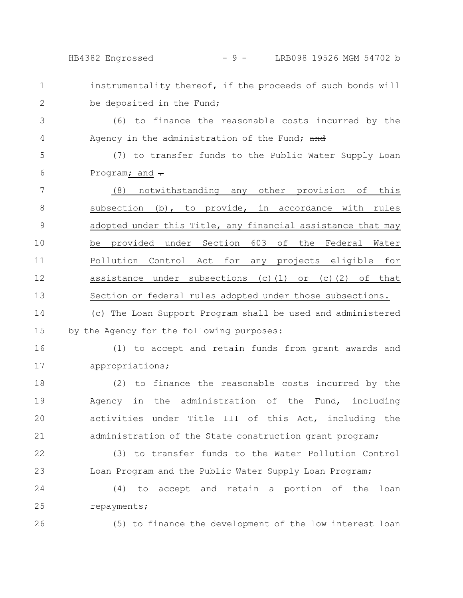HB4382 Engrossed - 9 - LRB098 19526 MGM 54702 b

instrumentality thereof, if the proceeds of such bonds will

be deposited in the Fund;

(6) to finance the reasonable costs incurred by the Agency in the administration of the Fund; and 3 4

(7) to transfer funds to the Public Water Supply Loan Program; and  $\div$ 5 6

(8) notwithstanding any other provision of this subsection (b), to provide, in accordance with rules adopted under this Title, any financial assistance that may be provided under Section 603 of the Federal Water Pollution Control Act for any projects eligible for assistance under subsections (c)(1) or (c)(2) of that Section or federal rules adopted under those subsections. 7 8 9 10 11 12 13

(c) The Loan Support Program shall be used and administered by the Agency for the following purposes: 14 15

16

17

1

2

(1) to accept and retain funds from grant awards and appropriations;

(2) to finance the reasonable costs incurred by the Agency in the administration of the Fund, including activities under Title III of this Act, including the administration of the State construction grant program; 18 19 20 21

(3) to transfer funds to the Water Pollution Control Loan Program and the Public Water Supply Loan Program; 22 23

(4) to accept and retain a portion of the loan repayments; 24 25

26

(5) to finance the development of the low interest loan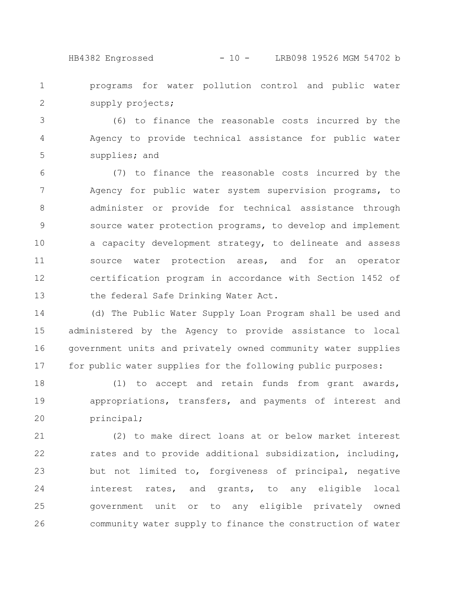### HB4382 Engrossed - 10 - LRB098 19526 MGM 54702 b

programs for water pollution control and public water supply projects; 1 2

(6) to finance the reasonable costs incurred by the Agency to provide technical assistance for public water supplies; and 3 4 5

(7) to finance the reasonable costs incurred by the Agency for public water system supervision programs, to administer or provide for technical assistance through source water protection programs, to develop and implement a capacity development strategy, to delineate and assess source water protection areas, and for an operator certification program in accordance with Section 1452 of the federal Safe Drinking Water Act. 6 7 8 9 10 11 12 13

(d) The Public Water Supply Loan Program shall be used and administered by the Agency to provide assistance to local government units and privately owned community water supplies for public water supplies for the following public purposes: 14 15 16 17

(1) to accept and retain funds from grant awards, appropriations, transfers, and payments of interest and principal; 18 19 20

(2) to make direct loans at or below market interest rates and to provide additional subsidization, including, but not limited to, forgiveness of principal, negative interest rates, and grants, to any eligible local government unit or to any eligible privately owned community water supply to finance the construction of water 21 22 23 24 25 26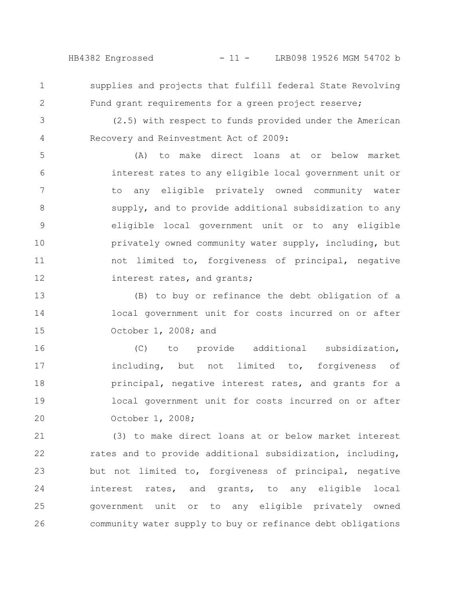HB4382 Engrossed - 11 - LRB098 19526 MGM 54702 b

1 2 supplies and projects that fulfill federal State Revolving Fund grant requirements for a green project reserve;

3 4

(2.5) with respect to funds provided under the American Recovery and Reinvestment Act of 2009:

(A) to make direct loans at or below market interest rates to any eligible local government unit or to any eligible privately owned community water supply, and to provide additional subsidization to any eligible local government unit or to any eligible privately owned community water supply, including, but not limited to, forgiveness of principal, negative interest rates, and grants; 5 6 7 8 9 10 11 12

(B) to buy or refinance the debt obligation of a local government unit for costs incurred on or after October 1, 2008; and 13 14 15

(C) to provide additional subsidization, including, but not limited to, forgiveness of principal, negative interest rates, and grants for a local government unit for costs incurred on or after October 1, 2008; 16 17 18 19 20

(3) to make direct loans at or below market interest rates and to provide additional subsidization, including, but not limited to, forgiveness of principal, negative interest rates, and grants, to any eligible local government unit or to any eligible privately owned community water supply to buy or refinance debt obligations 21 22 23 24 25 26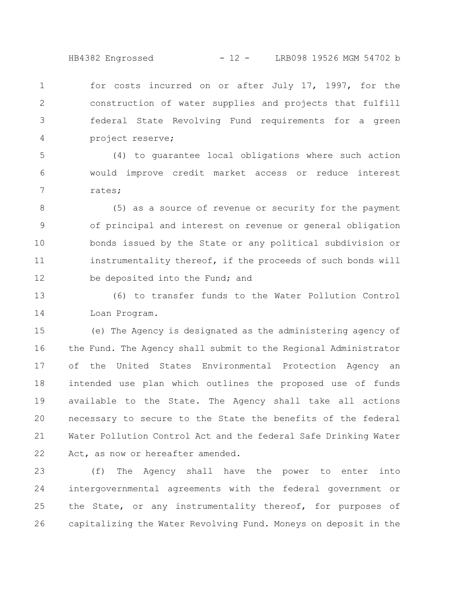HB4382 Engrossed - 12 - LRB098 19526 MGM 54702 b

for costs incurred on or after July 17, 1997, for the construction of water supplies and projects that fulfill federal State Revolving Fund requirements for a green project reserve; 1 2 3 4

(4) to guarantee local obligations where such action would improve credit market access or reduce interest rates; 5 6 7

(5) as a source of revenue or security for the payment of principal and interest on revenue or general obligation bonds issued by the State or any political subdivision or instrumentality thereof, if the proceeds of such bonds will be deposited into the Fund; and 8 9 10 11 12

(6) to transfer funds to the Water Pollution Control Loan Program. 13 14

(e) The Agency is designated as the administering agency of the Fund. The Agency shall submit to the Regional Administrator of the United States Environmental Protection Agency an intended use plan which outlines the proposed use of funds available to the State. The Agency shall take all actions necessary to secure to the State the benefits of the federal Water Pollution Control Act and the federal Safe Drinking Water Act, as now or hereafter amended. 15 16 17 18 19 20 21 22

(f) The Agency shall have the power to enter into intergovernmental agreements with the federal government or the State, or any instrumentality thereof, for purposes of capitalizing the Water Revolving Fund. Moneys on deposit in the 23 24 25 26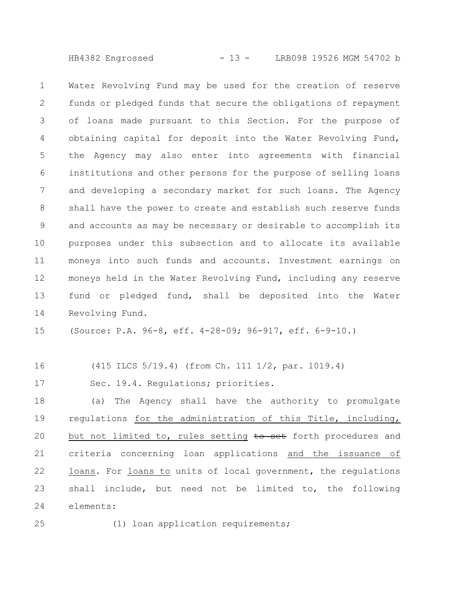HB4382 Engrossed - 13 - LRB098 19526 MGM 54702 b

Water Revolving Fund may be used for the creation of reserve funds or pledged funds that secure the obligations of repayment of loans made pursuant to this Section. For the purpose of obtaining capital for deposit into the Water Revolving Fund, the Agency may also enter into agreements with financial institutions and other persons for the purpose of selling loans and developing a secondary market for such loans. The Agency shall have the power to create and establish such reserve funds and accounts as may be necessary or desirable to accomplish its purposes under this subsection and to allocate its available moneys into such funds and accounts. Investment earnings on moneys held in the Water Revolving Fund, including any reserve fund or pledged fund, shall be deposited into the Water Revolving Fund. 1 2 3 4 5 6 7 8 9 10 11 12 13 14

(Source: P.A. 96-8, eff. 4-28-09; 96-917, eff. 6-9-10.) 15

(415 ILCS 5/19.4) (from Ch. 111 1/2, par. 1019.4) 16

Sec. 19.4. Regulations; priorities. 17

(a) The Agency shall have the authority to promulgate regulations for the administration of this Title, including, but not limited to, rules setting to set forth procedures and criteria concerning loan applications and the issuance of loans. For loans to units of local government, the regulations shall include, but need not be limited to, the following elements: 18 19 20 21 22 23 24

25

(1) loan application requirements;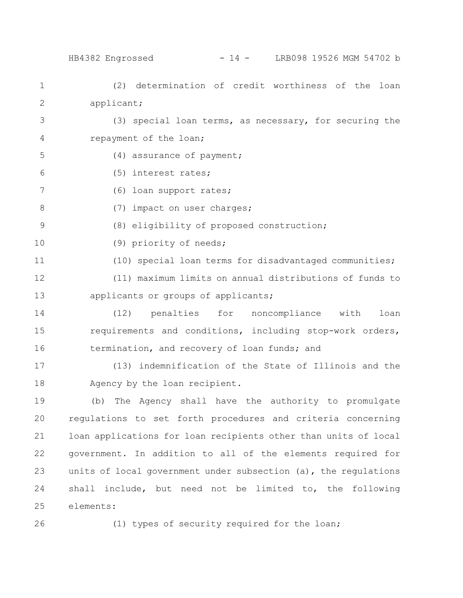# HB4382 Engrossed - 14 - LRB098 19526 MGM 54702 b

(2) determination of credit worthiness of the loan applicant; (3) special loan terms, as necessary, for securing the repayment of the loan; (4) assurance of payment; (5) interest rates; (6) loan support rates; (7) impact on user charges; (8) eligibility of proposed construction; (9) priority of needs; (10) special loan terms for disadvantaged communities; (11) maximum limits on annual distributions of funds to applicants or groups of applicants; (12) penalties for noncompliance with loan requirements and conditions, including stop-work orders, termination, and recovery of loan funds; and (13) indemnification of the State of Illinois and the Agency by the loan recipient. (b) The Agency shall have the authority to promulgate regulations to set forth procedures and criteria concerning loan applications for loan recipients other than units of local 1 2 3 4 5 6 7 8 9 10 11 12 13 14 15 16 17 18 19 20 21

government. In addition to all of the elements required for units of local government under subsection (a), the regulations shall include, but need not be limited to, the following elements: 22 23 24 25

26

(1) types of security required for the loan;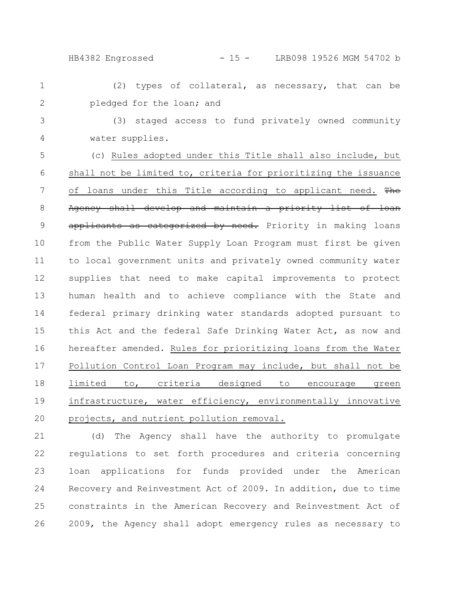HB4382 Engrossed - 15 - LRB098 19526 MGM 54702 b

(2) types of collateral, as necessary, that can be pledged for the loan; and 1 2

3

4

(3) staged access to fund privately owned community water supplies.

(c) Rules adopted under this Title shall also include, but shall not be limited to, criteria for prioritizing the issuance of loans under this Title according to applicant need. The Agency shall develop and maintain a priority list of loan applicants as categorized by need. Priority in making loans from the Public Water Supply Loan Program must first be given to local government units and privately owned community water supplies that need to make capital improvements to protect human health and to achieve compliance with the State and federal primary drinking water standards adopted pursuant to this Act and the federal Safe Drinking Water Act, as now and hereafter amended. Rules for prioritizing loans from the Water Pollution Control Loan Program may include, but shall not be limited to, criteria designed to encourage green infrastructure, water efficiency, environmentally innovative projects, and nutrient pollution removal. 5 6 7 8 9 10 11 12 13 14 15 16 17 18 19 20

(d) The Agency shall have the authority to promulgate regulations to set forth procedures and criteria concerning loan applications for funds provided under the American Recovery and Reinvestment Act of 2009. In addition, due to time constraints in the American Recovery and Reinvestment Act of 2009, the Agency shall adopt emergency rules as necessary to 21 22 23 24 25 26